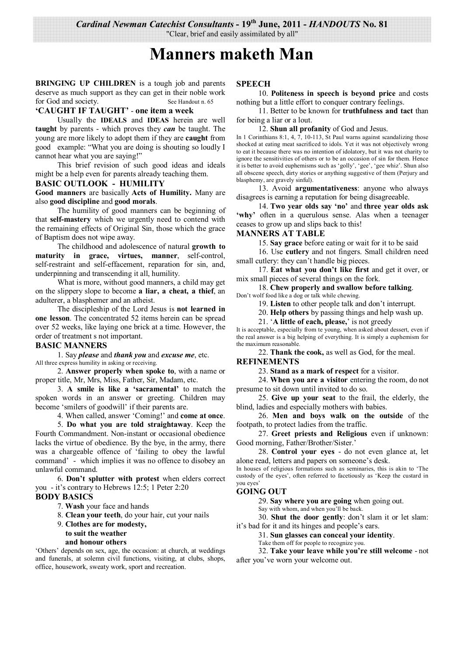*Cardinal Newman Catechist Consultants* **- 19th June, 2011 -** *HANDOUTS* **No. 81** 

"Clear, brief and easily assimilated by all"

# **Manners maketh Man**

**BRINGING UP CHILDREN** is a tough job and parents deserve as much support as they can get in their noble work for God and society. See Handout n. 65

## **'CAUGHT IF TAUGHT'** - **one item a week**

 Usually the **IDEALS** and **IDEAS** herein are well **taught** by parents - which proves they *can* be taught. The young are more likely to adopt them if they are **caught** from good example: "What you are doing is shouting so loudly I cannot hear what you are saying!"

 This brief revision of such good ideas and ideals might be a help even for parents already teaching them.

#### **BASIC OUTLOOK - HUMILITY**

**Good manners** are basically **Acts of Humility.** Many are also **good discipline** and **good morals**.

 The humility of good manners can be beginning of that **self-mastery** which we urgently need to contend with the remaining effects of Original Sin, those which the grace of Baptism does not wipe away.

 The childhood and adolescence of natural **growth to maturity in grace, virtues, manner**, self-control, self-restraint and self-effacement, reparation for sin, and, underpinning and transcending it all, humility.

 What is more, without good manners, a child may get on the slippery slope to become **a liar, a cheat, a thief**, an adulterer, a blasphemer and an atheist.

 The discipleship of the Lord Jesus is **not learned in one lesson**. The concentrated 52 items herein can be spread over 52 weeks, like laying one brick at a time. However, the order of treatment s not important.

#### **BASIC MANNERS**

1. Say *please* and *thank you* and *excuse me*, etc.

All three express humility in asking or receiving.

 2. **Answer properly when spoke to**, with a name or proper title, Mr, Mrs, Miss, Father, Sir, Madam, etc.

 3. **A smile is like a 'sacramental'** to match the spoken words in an answer or greeting. Children may become 'smilers of goodwill' if their parents are.

4. When called, answer 'Coming!' and **come at once**.

 5. **Do what you are told straightaway**. Keep the Fourth Commandment. Non-instant or occasional obedience lacks the virtue of obedience. By the bye, in the army, there was a chargeable offence of 'failing to obey the lawful command' - which implies it was no offence to disobey an unlawful command.

 6. **Don't splutter with protest** when elders correct you - it's contrary to Hebrews 12:5; 1 Peter 2:20

## **BODY BASICS**

7. **Wash** your face and hands

8. **Clean your teeth**, do your hair, cut your nails

#### 9. **Clothes are for modesty, to suit the weather**

# **and honour others**

'Others' depends on sex, age, the occasion: at church, at weddings and funerals, at solemn civil functions, visiting, at clubs, shops, office, housework, sweaty work, sport and recreation.

#### **SPEECH**

 10. **Politeness in speech is beyond price** and costs nothing but a little effort to conquer contrary feelings.

 11. Better to be known for **truthfulness and tact** than for being a liar or a lout.

#### 12. **Shun all profanity** of God and Jesus.

In 1 Corinthians 8:1, 4, 7, 10-113, St Paul warns against scandalizing those shocked at eating meat sacrificed to idols. Yet it was not objectively wrong to eat it because there was no intention of idolatory, but it was not charity to ignore the sensitivities of others or to be an occasion of sin for them. Hence it is better to avoid euphemisms such as 'golly', 'gee', 'gee whiz'. Shun also all obscene speech, dirty stories or anything suggestive of them (Perjury and blasphemy, are gravely sinful).

 13. Avoid **argumentativeness**: anyone who always disagrees is earning a reputation for being disagreeable.

 14. **Two year olds say 'no'** and **three year olds ask**  'why' often in a querulous sense. Alas when a teenager ceases to grow up and slips back to this!

## **MANNERS AT TABLE**

15. **Say grace** before eating or wait for it to be said

 16. Use **cutlery** and not fingers. Small children need small cutlery: they can't handle big pieces.

 17. **Eat what you don't like first** and get it over, or mix small pieces of several things on the fork.

 18. **Chew properly and swallow before talking**. Don't wolf food like a dog or talk while chewing.

19. **Listen** to other people talk and don't interrupt.

20. **Help others** by passing things and help wash up.

21. '**A little of each, please,**' is not greedy

It is acceptable, especially from te young, when asked about dessert, even if the real answer is a big helping of everything. It is simply a euphemism for the maximum reasonable.

22. **Thank the cook,** as well as God, for the meal.

#### **REFINEMENTS**

23. **Stand as a mark of respect** for a visitor.

 24. **When you are a visitor** entering the room, do not presume to sit down until invited to do so.

 25. **Give up your seat** to the frail, the elderly, the blind, ladies and especially mothers with babies.

 26. **Men and boys walk on the outside** of the footpath, to protect ladies from the traffic.

 27. **Greet priests and Religious** even if unknown: Good morning, Father/Brother/Sister.'

 28. **Control your eyes** - do not even glance at, let alone read, letters and papers on someone's desk. In houses of religious formations such as seminaries, this is akin to 'The

custody of the eyes', often referred to facetiously as 'Keep the custard in you eyes'

## **GOING OUT**

29. **Say where you are going** when going out.

Say with whom, and when you'll be back.

 30. **Shut the door gently**: don't slam it or let slam: it's bad for it and its hinges and people's ears.

31. **Sun glasses can conceal your identity**.

Take them off for people to recognize you.

 32. **Take your leave while you're still welcome** - not after you've worn your welcome out.